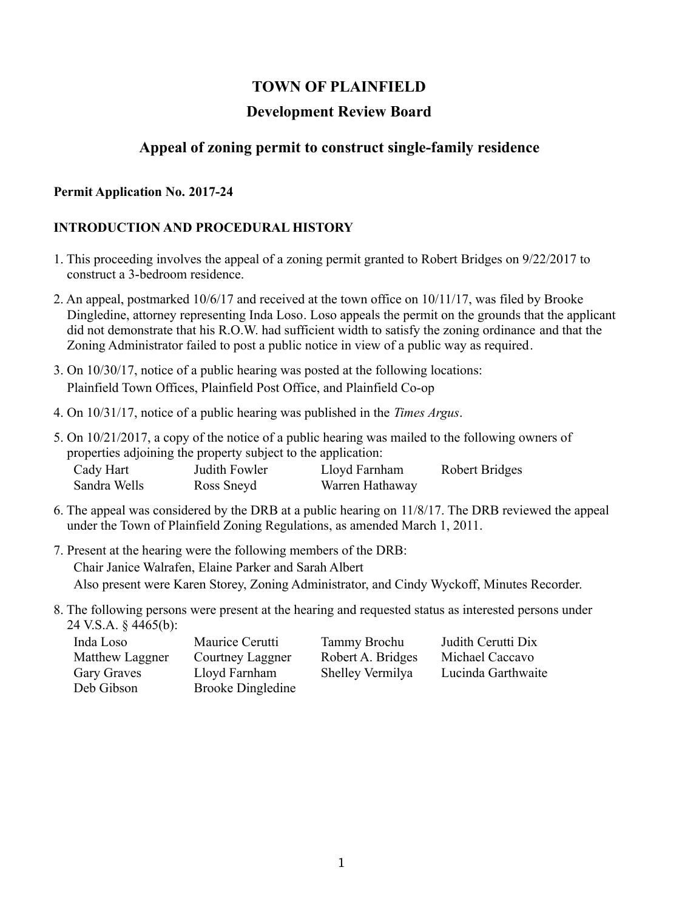# **TOWN OF PLAINFIELD**

### **Development Review Board**

# **Appeal of zoning permit to construct single-family residence**

#### **Permit Application No. 2017-24**

### **INTRODUCTION AND PROCEDURAL HISTORY**

- 1. This proceeding involves the appeal of a zoning permit granted to Robert Bridges on 9/22/2017 to construct a 3-bedroom residence.
- 2. An appeal, postmarked 10/6/17 and received at the town office on 10/11/17, was filed by Brooke Dingledine, attorney representing Inda Loso. Loso appeals the permit on the grounds that the applicant did not demonstrate that his R.O.W. had sufficient width to satisfy the zoning ordinance and that the Zoning Administrator failed to post a public notice in view of a public way as required.
- 3. On 10/30/17, notice of a public hearing was posted at the following locations: Plainfield Town Offices, Plainfield Post Office, and Plainfield Co-op
- 4. On 10/31/17, notice of a public hearing was published in the *Times Argus*.
- 5. On 10/21/2017, a copy of the notice of a public hearing was mailed to the following owners of properties adjoining the property subject to the application: Cady Hart Judith Fowler Lloyd Farnham Robert Bridges

| Cauy Hall    | JUUILII TOWIT | Lioya Farilliani | <b>NUUCH DHUGGS</b> |
|--------------|---------------|------------------|---------------------|
| Sandra Wells | Ross Sneyd    | Warren Hathaway  |                     |
|              |               |                  |                     |

- 6. The appeal was considered by the DRB at a public hearing on 11/8/17. The DRB reviewed the appeal under the Town of Plainfield Zoning Regulations, as amended March 1, 2011.
- 7. Present at the hearing were the following members of the DRB: Chair Janice Walrafen, Elaine Parker and Sarah Albert Also present were Karen Storey, Zoning Administrator, and Cindy Wyckoff, Minutes Recorder.
- 8. The following persons were present at the hearing and requested status as interested persons under 24 V.S.A. § 4465(b):

| Inda Loso       | Maurice Cerutti          | Tammy Brochu      | Judith Cerutti Dix |
|-----------------|--------------------------|-------------------|--------------------|
| Matthew Laggner | Courtney Laggner         | Robert A. Bridges | Michael Caccavo    |
| Gary Graves     | Lloyd Farnham            | Shelley Vermilya  | Lucinda Garthwaite |
| Deb Gibson      | <b>Brooke Dingledine</b> |                   |                    |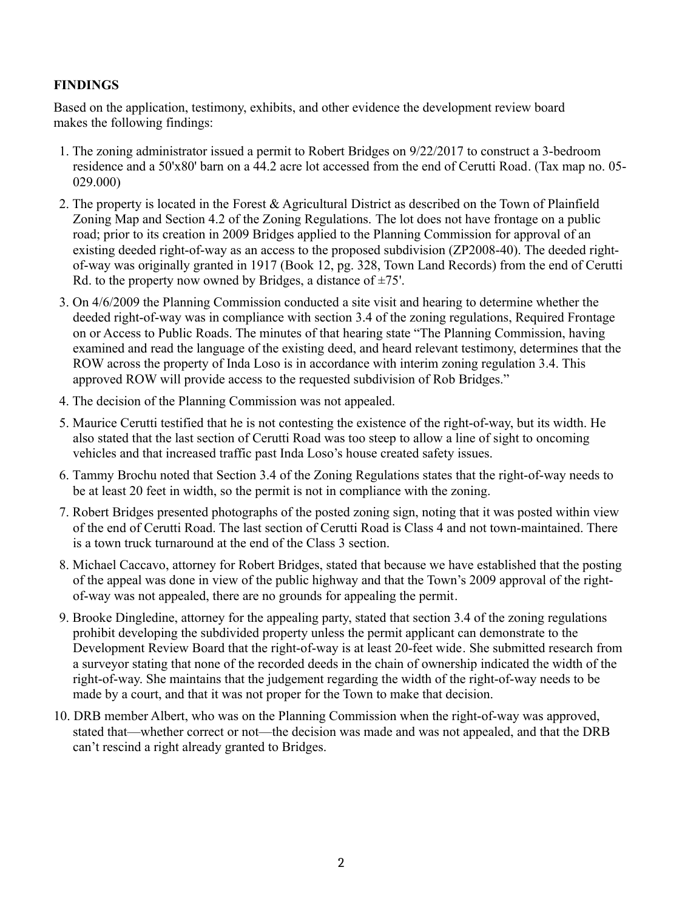#### **FINDINGS**

Based on the application, testimony, exhibits, and other evidence the development review board makes the following findings:

- 1. The zoning administrator issued a permit to Robert Bridges on 9/22/2017 to construct a 3-bedroom residence and a 50'x80' barn on a 44.2 acre lot accessed from the end of Cerutti Road. (Tax map no. 05- 029.000)
- 2. The property is located in the Forest & Agricultural District as described on the Town of Plainfield Zoning Map and Section 4.2 of the Zoning Regulations. The lot does not have frontage on a public road; prior to its creation in 2009 Bridges applied to the Planning Commission for approval of an existing deeded right-of-way as an access to the proposed subdivision (ZP2008-40). The deeded rightof-way was originally granted in 1917 (Book 12, pg. 328, Town Land Records) from the end of Cerutti Rd. to the property now owned by Bridges, a distance of  $\pm$ 75'.
- 3. On 4/6/2009 the Planning Commission conducted a site visit and hearing to determine whether the deeded right-of-way was in compliance with section 3.4 of the zoning regulations, Required Frontage on or Access to Public Roads. The minutes of that hearing state "The Planning Commission, having examined and read the language of the existing deed, and heard relevant testimony, determines that the ROW across the property of Inda Loso is in accordance with interim zoning regulation 3.4. This approved ROW will provide access to the requested subdivision of Rob Bridges."
- 4. The decision of the Planning Commission was not appealed.
- 5. Maurice Cerutti testified that he is not contesting the existence of the right-of-way, but its width. He also stated that the last section of Cerutti Road was too steep to allow a line of sight to oncoming vehicles and that increased traffic past Inda Loso's house created safety issues.
- 6. Tammy Brochu noted that Section 3.4 of the Zoning Regulations states that the right-of-way needs to be at least 20 feet in width, so the permit is not in compliance with the zoning.
- 7. Robert Bridges presented photographs of the posted zoning sign, noting that it was posted within view of the end of Cerutti Road. The last section of Cerutti Road is Class 4 and not town-maintained. There is a town truck turnaround at the end of the Class 3 section.
- 8. Michael Caccavo, attorney for Robert Bridges, stated that because we have established that the posting of the appeal was done in view of the public highway and that the Town's 2009 approval of the rightof-way was not appealed, there are no grounds for appealing the permit.
- 9. Brooke Dingledine, attorney for the appealing party, stated that section 3.4 of the zoning regulations prohibit developing the subdivided property unless the permit applicant can demonstrate to the Development Review Board that the right-of-way is at least 20-feet wide. She submitted research from a surveyor stating that none of the recorded deeds in the chain of ownership indicated the width of the right-of-way. She maintains that the judgement regarding the width of the right-of-way needs to be made by a court, and that it was not proper for the Town to make that decision.
- 10. DRB member Albert, who was on the Planning Commission when the right-of-way was approved, stated that—whether correct or not—the decision was made and was not appealed, and that the DRB can't rescind a right already granted to Bridges.